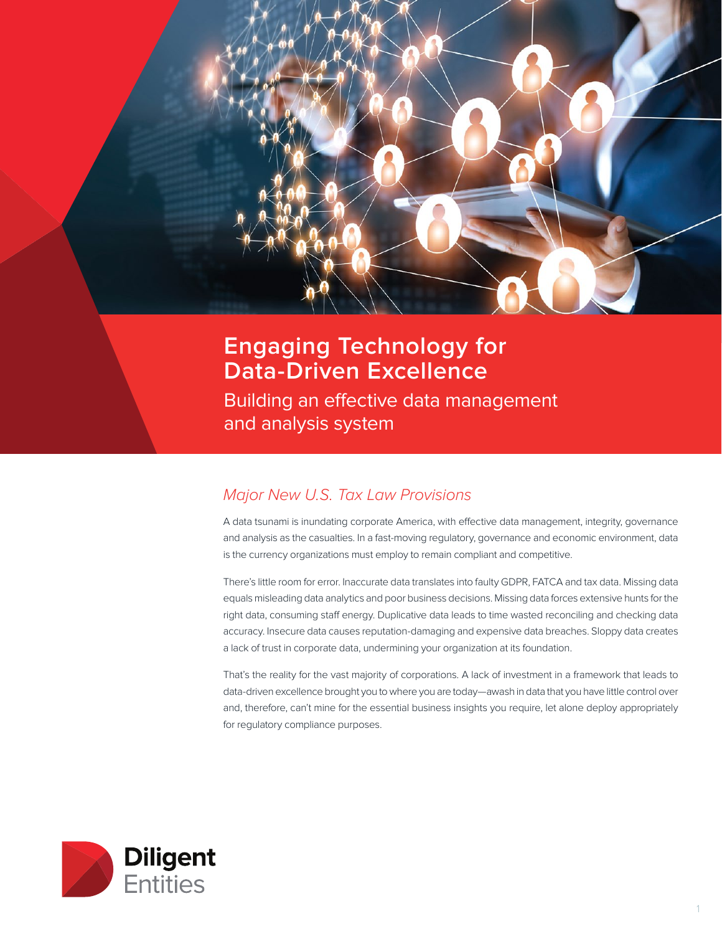

# **Engaging Technology for Data-Driven Excellence**

Building an effective data management and analysis system

# *Major New U.S. Tax Law Provisions*

A data tsunami is inundating corporate America, with effective data management, integrity, governance and analysis as the casualties. In a fast-moving regulatory, governance and economic environment, data is the currency organizations must employ to remain compliant and competitive.

There's little room for error. Inaccurate data translates into faulty GDPR, FATCA and tax data. Missing data equals misleading data analytics and poor business decisions. Missing data forces extensive hunts for the right data, consuming staff energy. Duplicative data leads to time wasted reconciling and checking data accuracy. Insecure data causes reputation-damaging and expensive data breaches. Sloppy data creates a lack of trust in corporate data, undermining your organization at its foundation.

That's the reality for the vast majority of corporations. A lack of investment in a framework that leads to data-driven excellence brought you to where you are today—awash in data that you have little control over and, therefore, can't mine for the essential business insights you require, let alone deploy appropriately for regulatory compliance purposes.

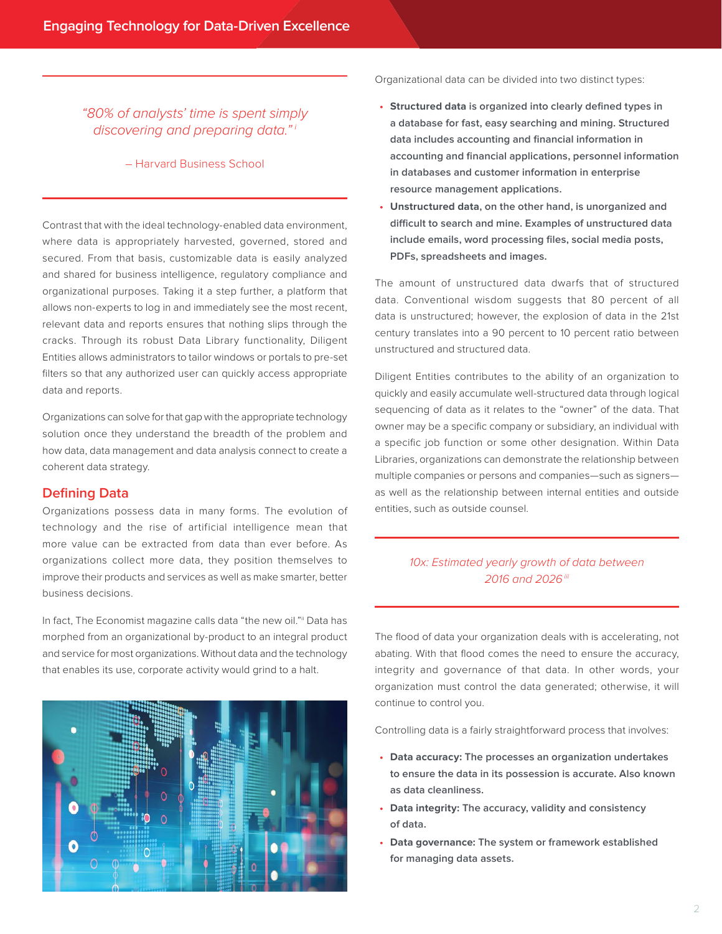*"80% of analysts' time is spent simply discovering and preparing data." <sup>i</sup>*

#### – Harvard Business School

Contrast that with the ideal technology-enabled data environment, where data is appropriately harvested, governed, stored and secured. From that basis, customizable data is easily analyzed and shared for business intelligence, regulatory compliance and organizational purposes. Taking it a step further, a platform that allows non-experts to log in and immediately see the most recent, relevant data and reports ensures that nothing slips through the cracks. Through its robust Data Library functionality, Diligent Entities allows administrators to tailor windows or portals to pre-set filters so that any authorized user can quickly access appropriate data and reports.

Organizations can solve for that gap with the appropriate technology solution once they understand the breadth of the problem and how data, data management and data analysis connect to create a coherent data strategy.

#### **Defining Data**

Organizations possess data in many forms. The evolution of technology and the rise of artificial intelligence mean that more value can be extracted from data than ever before. As organizations collect more data, they position themselves to improve their products and services as well as make smarter, better business decisions.

In fact, The Economist magazine calls data "the new oil." Data has morphed from an organizational by-product to an integral product and service for most organizations. Without data and the technology that enables its use, corporate activity would grind to a halt.



Organizational data can be divided into two distinct types:

- **• Structured data is organized into clearly defined types in a database for fast, easy searching and mining. Structured data includes accounting and financial information in accounting and financial applications, personnel information in databases and customer information in enterprise resource management applications.**
- **• Unstructured data, on the other hand, is unorganized and difficult to search and mine. Examples of unstructured data include emails, word processing files, social media posts, PDFs, spreadsheets and images.**

The amount of unstructured data dwarfs that of structured data. Conventional wisdom suggests that 80 percent of all data is unstructured; however, the explosion of data in the 21st century translates into a 90 percent to 10 percent ratio between unstructured and structured data.

Diligent Entities contributes to the ability of an organization to quickly and easily accumulate well-structured data through logical sequencing of data as it relates to the "owner" of the data. That owner may be a specific company or subsidiary, an individual with a specific job function or some other designation. Within Data Libraries, organizations can demonstrate the relationship between multiple companies or persons and companies—such as signers as well as the relationship between internal entities and outside entities, such as outside counsel.

# *10x: Estimated yearly growth of data between 2016 and 2026iii*

The flood of data your organization deals with is accelerating, not abating. With that flood comes the need to ensure the accuracy, integrity and governance of that data. In other words, your organization must control the data generated; otherwise, it will continue to control you.

Controlling data is a fairly straightforward process that involves:

- **• Data accuracy: The processes an organization undertakes to ensure the data in its possession is accurate. Also known as data cleanliness.**
- **• Data integrity: The accuracy, validity and consistency of data.**
- **• Data governance: The system or framework established for managing data assets.**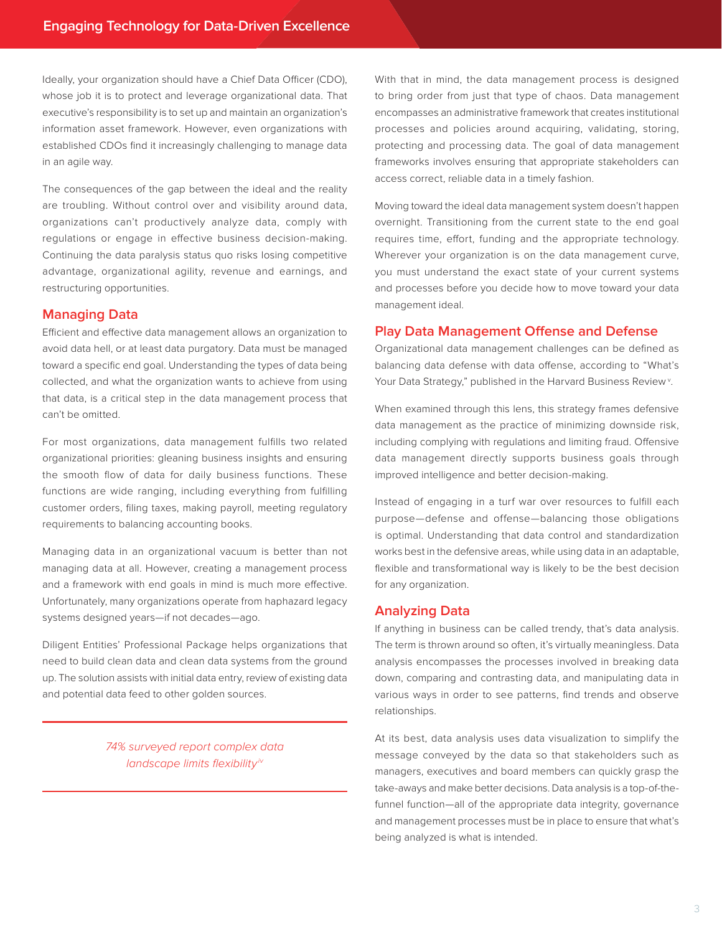Ideally, your organization should have a Chief Data Officer (CDO), whose job it is to protect and leverage organizational data. That executive's responsibility is to set up and maintain an organization's information asset framework. However, even organizations with established CDOs find it increasingly challenging to manage data in an agile way.

The consequences of the gap between the ideal and the reality are troubling. Without control over and visibility around data, organizations can't productively analyze data, comply with regulations or engage in effective business decision-making. Continuing the data paralysis status quo risks losing competitive advantage, organizational agility, revenue and earnings, and restructuring opportunities.

# **Managing Data**

Efficient and effective data management allows an organization to avoid data hell, or at least data purgatory. Data must be managed toward a specific end goal. Understanding the types of data being collected, and what the organization wants to achieve from using that data, is a critical step in the data management process that can't be omitted.

For most organizations, data management fulfills two related organizational priorities: gleaning business insights and ensuring the smooth flow of data for daily business functions. These functions are wide ranging, including everything from fulfilling customer orders, filing taxes, making payroll, meeting regulatory requirements to balancing accounting books.

Managing data in an organizational vacuum is better than not managing data at all. However, creating a management process and a framework with end goals in mind is much more effective. Unfortunately, many organizations operate from haphazard legacy systems designed years—if not decades—ago.

Diligent Entities' Professional Package helps organizations that need to build clean data and clean data systems from the ground up. The solution assists with initial data entry, review of existing data and potential data feed to other golden sources.

> *74% surveyed report complex data*  landscape limits flexibility*iv*

With that in mind, the data management process is designed to bring order from just that type of chaos. Data management encompasses an administrative framework that creates institutional processes and policies around acquiring, validating, storing, protecting and processing data. The goal of data management frameworks involves ensuring that appropriate stakeholders can access correct, reliable data in a timely fashion.

Moving toward the ideal data management system doesn't happen overnight. Transitioning from the current state to the end goal requires time, effort, funding and the appropriate technology. Wherever your organization is on the data management curve, you must understand the exact state of your current systems and processes before you decide how to move toward your data management ideal.

# **Play Data Management Offense and Defense**

Organizational data management challenges can be defined as balancing data defense with data offense, according to "What's Your Data Strategy," published in the Harvard Business Review<sup>v</sup>.

When examined through this lens, this strategy frames defensive data management as the practice of minimizing downside risk, including complying with regulations and limiting fraud. Offensive data management directly supports business goals through improved intelligence and better decision-making.

Instead of engaging in a turf war over resources to fulfill each purpose—defense and offense—balancing those obligations is optimal. Understanding that data control and standardization works best in the defensive areas, while using data in an adaptable, flexible and transformational way is likely to be the best decision for any organization.

#### **Analyzing Data**

If anything in business can be called trendy, that's data analysis. The term is thrown around so often, it's virtually meaningless. Data analysis encompasses the processes involved in breaking data down, comparing and contrasting data, and manipulating data in various ways in order to see patterns, find trends and observe relationships.

At its best, data analysis uses data visualization to simplify the message conveyed by the data so that stakeholders such as managers, executives and board members can quickly grasp the take-aways and make better decisions. Data analysis is a top-of-thefunnel function—all of the appropriate data integrity, governance and management processes must be in place to ensure that what's being analyzed is what is intended.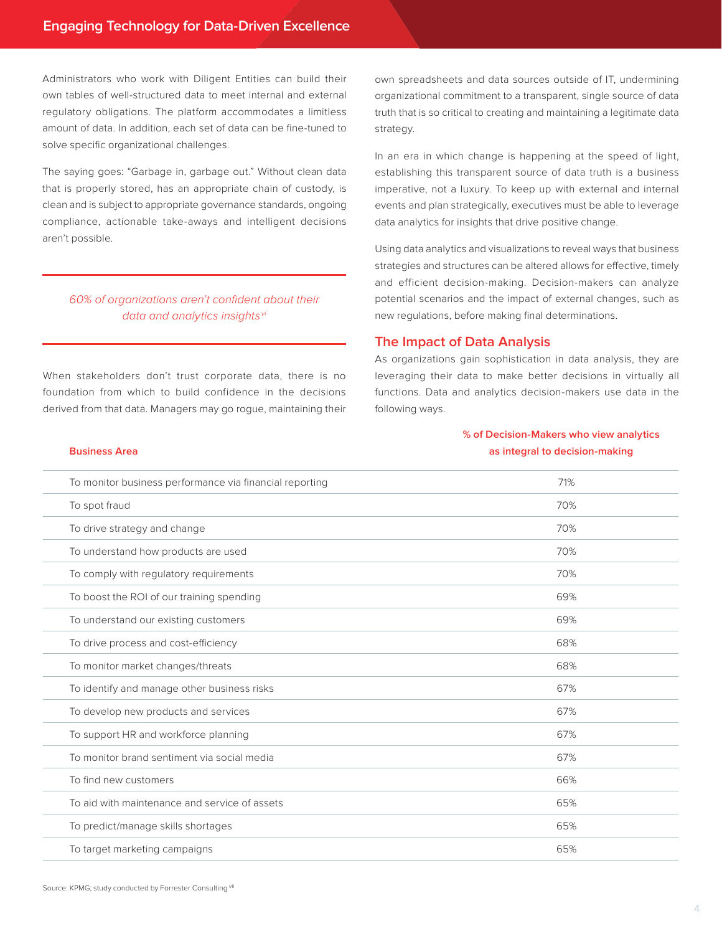Administrators who work with Diligent Entities can build their own tables of well-structured data to meet internal and external regulatory obligations. The platform accommodates a limitless amount of data. In addition, each set of data can be fine-tuned to solve specific organizational challenges.

The saying goes: "Garbage in, garbage out." Without clean data that is properly stored, has an appropriate chain of custody, is clean and is subject to appropriate governance standards, ongoing compliance, actionable take-aways and intelligent decisions aren't possible.

# 60% of organizations aren't confident about their *data and analytics insights vi*

When stakeholders don't trust corporate data, there is no foundation from which to build confidence in the decisions derived from that data. Managers may go rogue, maintaining their

**Business Area**

own spreadsheets and data sources outside of IT, undermining organizational commitment to a transparent, single source of data truth that is so critical to creating and maintaining a legitimate data strategy.

In an era in which change is happening at the speed of light, establishing this transparent source of data truth is a business imperative, not a luxury. To keep up with external and internal events and plan strategically, executives must be able to leverage data analytics for insights that drive positive change.

Using data analytics and visualizations to reveal ways that business strategies and structures can be altered allows for effective, timely and efficient decision-making. Decision-makers can analyze potential scenarios and the impact of external changes, such as new regulations, before making final determinations.

#### **The Impact of Data Analysis**

As organizations gain sophistication in data analysis, they are leveraging their data to make better decisions in virtually all functions. Data and analytics decision-makers use data in the following ways.

# **% of Decision-Makers who view analytics as integral to decision-making**

| To monitor business performance via financial reporting | 71% |
|---------------------------------------------------------|-----|
| To spot fraud                                           | 70% |
| To drive strategy and change                            | 70% |
| To understand how products are used                     | 70% |
| To comply with regulatory requirements                  | 70% |
| To boost the ROI of our training spending               | 69% |
| To understand our existing customers                    | 69% |
| To drive process and cost-efficiency                    | 68% |
| To monitor market changes/threats                       | 68% |
| To identify and manage other business risks             | 67% |
| To develop new products and services                    | 67% |
| To support HR and workforce planning                    | 67% |
| To monitor brand sentiment via social media             | 67% |
| To find new customers                                   | 66% |
| To aid with maintenance and service of assets           | 65% |
| To predict/manage skills shortages                      | 65% |
| To target marketing campaigns                           | 65% |
|                                                         |     |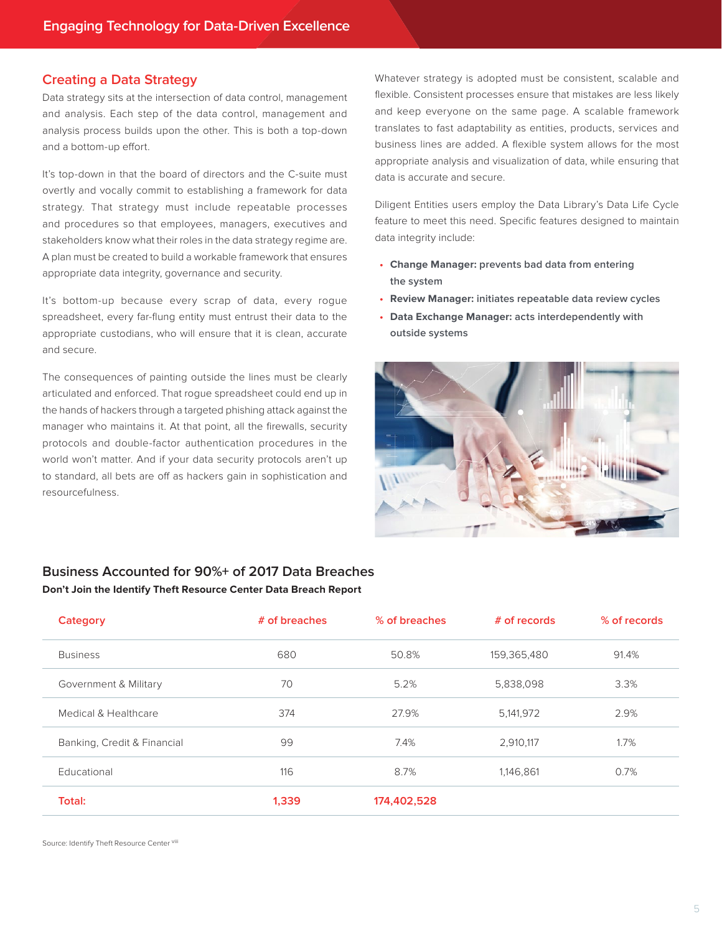#### **Creating a Data Strategy**

Data strategy sits at the intersection of data control, management and analysis. Each step of the data control, management and analysis process builds upon the other. This is both a top-down and a bottom-up effort.

It's top-down in that the board of directors and the C-suite must overtly and vocally commit to establishing a framework for data strategy. That strategy must include repeatable processes and procedures so that employees, managers, executives and stakeholders know what their roles in the data strategy regime are. A plan must be created to build a workable framework that ensures appropriate data integrity, governance and security.

It's bottom-up because every scrap of data, every rogue spreadsheet, every far-flung entity must entrust their data to the appropriate custodians, who will ensure that it is clean, accurate and secure.

The consequences of painting outside the lines must be clearly articulated and enforced. That rogue spreadsheet could end up in the hands of hackers through a targeted phishing attack against the manager who maintains it. At that point, all the firewalls, security protocols and double-factor authentication procedures in the world won't matter. And if your data security protocols aren't up to standard, all bets are off as hackers gain in sophistication and resourcefulness.

Whatever strategy is adopted must be consistent, scalable and flexible. Consistent processes ensure that mistakes are less likely and keep everyone on the same page. A scalable framework translates to fast adaptability as entities, products, services and business lines are added. A flexible system allows for the most appropriate analysis and visualization of data, while ensuring that data is accurate and secure.

Diligent Entities users employ the Data Library's Data Life Cycle feature to meet this need. Specific features designed to maintain data integrity include:

- **• Change Manager: prevents bad data from entering the system**
- **• Review Manager: initiates repeatable data review cycles**
- **• Data Exchange Manager: acts interdependently with outside systems**



# **Business Accounted for 90%+ of 2017 Data Breaches Don't Join the Identify Theft Resource Center Data Breach Report**

| Category                    | # of breaches | % of breaches | # of records | % of records |
|-----------------------------|---------------|---------------|--------------|--------------|
| <b>Business</b>             | 680           | 50.8%         | 159,365,480  | 91.4%        |
| Government & Military       | 70            | 5.2%          | 5,838,098    | 3.3%         |
| Medical & Healthcare        | 374           | 27.9%         | 5,141,972    | 2.9%         |
| Banking, Credit & Financial | 99            | 7.4%          | 2,910,117    | 1.7%         |
| Educational                 | 116           | 8.7%          | 1,146,861    | 0.7%         |
| Total:                      | 1,339         | 174,402,528   |              |              |

Source: Identify Theft Resource Center viii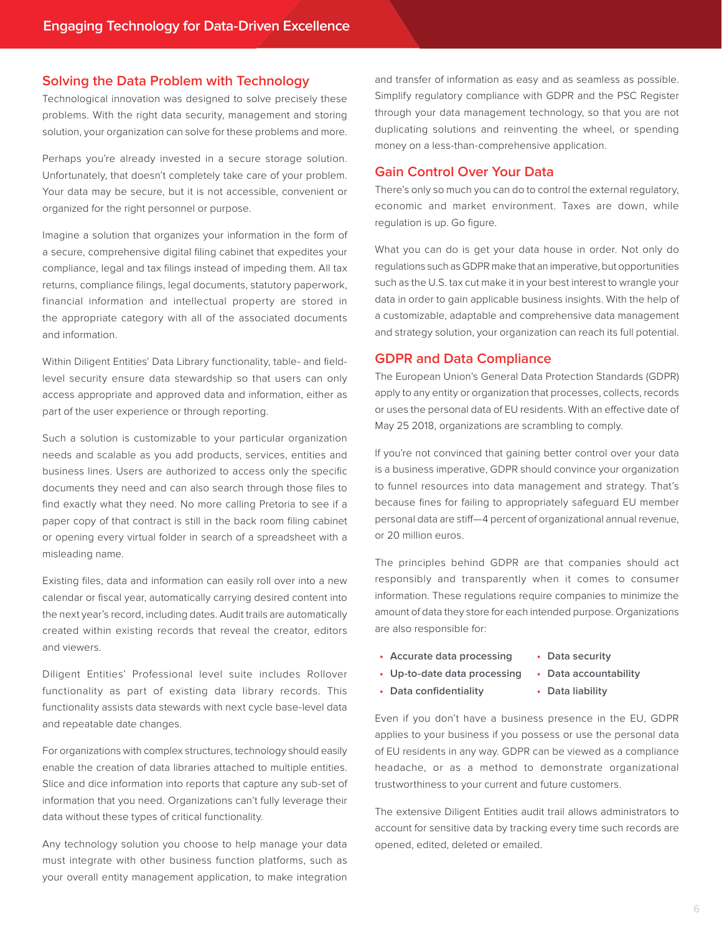#### **Solving the Data Problem with Technology**

Technological innovation was designed to solve precisely these problems. With the right data security, management and storing solution, your organization can solve for these problems and more.

Perhaps you're already invested in a secure storage solution. Unfortunately, that doesn't completely take care of your problem. Your data may be secure, but it is not accessible, convenient or organized for the right personnel or purpose.

Imagine a solution that organizes your information in the form of a secure, comprehensive digital filing cabinet that expedites your compliance, legal and tax filings instead of impeding them. All tax returns, compliance filings, legal documents, statutory paperwork, financial information and intellectual property are stored in the appropriate category with all of the associated documents and information.

Within Diligent Entities' Data Library functionality, table- and fieldlevel security ensure data stewardship so that users can only access appropriate and approved data and information, either as part of the user experience or through reporting.

Such a solution is customizable to your particular organization needs and scalable as you add products, services, entities and business lines. Users are authorized to access only the specific documents they need and can also search through those files to find exactly what they need. No more calling Pretoria to see if a paper copy of that contract is still in the back room filing cabinet or opening every virtual folder in search of a spreadsheet with a misleading name.

Existing files, data and information can easily roll over into a new calendar or fiscal year, automatically carrying desired content into the next year's record, including dates. Audit trails are automatically created within existing records that reveal the creator, editors and viewers.

Diligent Entities' Professional level suite includes Rollover functionality as part of existing data library records. This functionality assists data stewards with next cycle base-level data and repeatable date changes.

For organizations with complex structures, technology should easily enable the creation of data libraries attached to multiple entities. Slice and dice information into reports that capture any sub-set of information that you need. Organizations can't fully leverage their data without these types of critical functionality.

Any technology solution you choose to help manage your data must integrate with other business function platforms, such as your overall entity management application, to make integration and transfer of information as easy and as seamless as possible. Simplify regulatory compliance with GDPR and the PSC Register through your data management technology, so that you are not duplicating solutions and reinventing the wheel, or spending money on a less-than-comprehensive application.

#### **Gain Control Over Your Data**

There's only so much you can do to control the external regulatory, economic and market environment. Taxes are down, while regulation is up. Go figure.

What you can do is get your data house in order. Not only do regulations such as GDPR make that an imperative, but opportunities such as the U.S. tax cut make it in your best interest to wrangle your data in order to gain applicable business insights. With the help of a customizable, adaptable and comprehensive data management and strategy solution, your organization can reach its full potential.

#### **GDPR and Data Compliance**

The European Union's General Data Protection Standards (GDPR) apply to any entity or organization that processes, collects, records or uses the personal data of EU residents. With an effective date of May 25 2018, organizations are scrambling to comply.

If you're not convinced that gaining better control over your data is a business imperative, GDPR should convince your organization to funnel resources into data management and strategy. That's because fines for failing to appropriately safeguard EU member personal data are stiff—4 percent of organizational annual revenue, or 20 million euros.

The principles behind GDPR are that companies should act responsibly and transparently when it comes to consumer information. These regulations require companies to minimize the amount of data they store for each intended purpose. Organizations are also responsible for:

- **• Accurate data processing • Data security**
- **• Up-to-date data processing • Data accountability**

**• Data confidentiality** 

**• Data liability**

Even if you don't have a business presence in the EU, GDPR applies to your business if you possess or use the personal data of EU residents in any way. GDPR can be viewed as a compliance headache, or as a method to demonstrate organizational trustworthiness to your current and future customers.

The extensive Diligent Entities audit trail allows administrators to account for sensitive data by tracking every time such records are opened, edited, deleted or emailed.